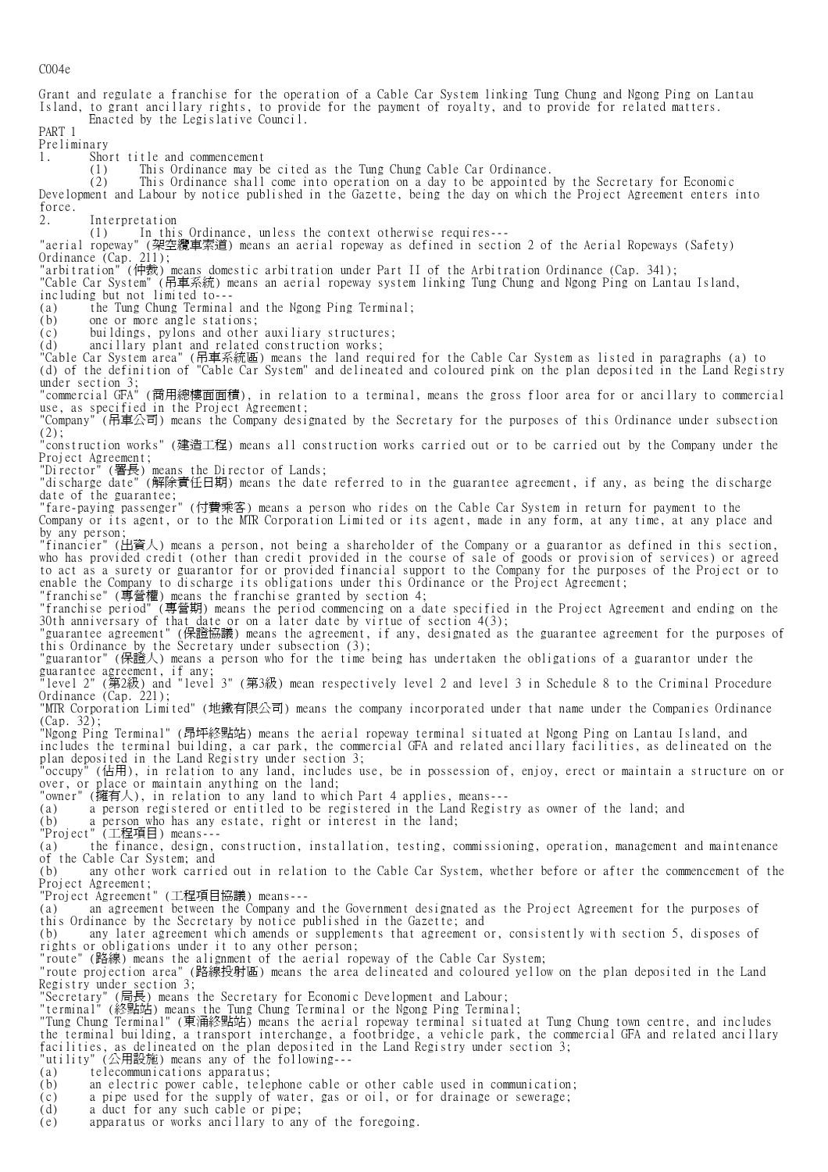C004e

Grant and regulate a franchise for the operation of a Cable Car System linking Tung Chung and Ngong Ping on Lantau Island, to grant ancillary rights, to provide for the payment of royalty, and to provide for related matters. Enacted by the Legislative Council. PART 1 Preliminary 1. Short title and commencement (1) This Ordinance may be cited as the Tung Chung Cable Car Ordinance. (2) This Ordinance shall come into operation on a day to be appointed by the Secretary for Economic Development and Labour by notice published in the Gazette, being the day on which the Project Agreement enters into force. Interpretation (1) In this Ordinance, unless the context otherwise requires--- "aerial ropeway" (架空纜車索道) means an aerial ropeway as defined in section 2 of the Aerial Ropeways (Safety) Ordinance (Cap. 211); "arbitration" (仲裁) means domestic arbitration under Part II of the Arbitration Ordinance (Cap. 341); "Cable Car System" (吊車系統) means an aerial ropeway system linking Tung Chung and Ngong Ping on Lantau Island, including but not limited to--- (a) the Tung Chung Terminal and the Ngong Ping Terminal; (b) one or more angle stations;<br>(c) buildings, pylons and other buildings, pylons and other auxiliary structures; (d) ancillary plant and related construction works; "Cable Car System area" (吊車系統區) means the land required for the Cable Car System as listed in paragraphs (a) to (d) of the definition of "Cable Car System" and delineated and coloured pink on the plan deposited in the Land Registry under section 3; "commercial GFA" (商用總樓面面積), in relation to a terminal, means the gross floor area for or ancillary to commercial use, as specified in the Project Agreement;<br>"Company" (吊車公司) means the Company doci "Company" (吊車公司) means the Company designated by the Secretary for the purposes of this Ordinance under subsection (2); "construction works" (建造工程) means all construction works carried out or to be carried out by the Company under the Project Agreement; "Director" (署長) means the Director of Lands; "discharge date" (解除責任日期) means the date referred to in the guarantee agreement, if any, as being the discharge date of the guarantee; "fare-paying passenger" (付費乘客) means a person who rides on the Cable Car System in return for payment to the that of the guarantee,<br>"fare-paying passenger" (付費乘客) means a person who rides on the Cable Car System in return for payment to the<br>Company or its agent, or to the MTR Corporation Limited or its agent, made in any form, a by any person; "financier" (出資人) means a person, not being a shareholder of the Company or a guarantor as defined in this section, who has provided credit (other than credit provided in the course of sale of goods or provision of services) or agreed to act as a surety or guarantor for or provided financial support to the Company for the purposes of the Project or to enable the Company to discharge its obligations under this Ordinance or the Project Agreement; "franchise" (專營權) means the franchise granted by section 4; "franchise period" (專營期) means the period commencing on a date specified in the Project Agreement and ending on the 30th anniversary of that date or on a later date by virtue of section 4(3); "guarantee agreement" (保證協議) means the agreement, if any, designated as the guarantee agreement for the purposes of this Ordinance by the Secretary under subsection (3); "guarantor" (保證人) means a person who for the time being has undertaken the obligations of a guarantor under the guarantee agreement, if any; "level 2" (第2級) and "level 3" (第3級) mean respectively level 2 and level 3 in Schedule 8 to the Criminal Procedure Ordinance (Cap. 221): "MTR Corporation Limited" (地鐵有限公司) means the company incorporated under that name under the Companies Ordinance (Cap. 32); "Ngong Ping Terminal" (昂坪終點站) means the aerial ropeway terminal situated at Ngong Ping on Lantau Island, and includes the terminal building, a car park, the commercial GFA and related ancillary facilities, as delineated on the plan deposited in the Land Registry under section 3; "occupy" (佔用), in relation to any land, includes use, be in possession of, enjoy, erect or maintain a structure on or over, or place or maintain anything on the land; "owner" (擁有人), in relation to any land to which Part 4 applies, means--- (a) a person registered or entitled to be registered in the Land Registry as owner of the land; and (b) a person who has any estate, right or interest in the land; "Project" (工程項目) means--- (a) the finance, design, construction, installation, testing, commissioning, operation, management and maintenance of the Cable Car System; and (b) any other work carried out in relation to the Cable Car System, whether before or after the commencement of the Project Agreement; "Project Agreement" (工程項目協議) means--- (a) an agreement between the Company and the Government designated as the Project Agreement for the purposes of this Ordinance by the Secretary by notice published in the Gazette; and (b) any later agreement which amends or supplements that agreement or, consistently with section 5, disposes of rights or obligations under it to any other person; "route" (路線) means the alignment of the aerial ropeway of the Cable Car System; "route projection area" (路線投射區) means the area delineated and coloured yellow on the plan deposited in the Land Registry under section 3; "Secretary" (局長) means the Secretary for Economic Development and Labour; "terminal" (終點站) means the Tung Chung Terminal or the Ngong Ping Terminal; "Tung Chung Terminal" (東涌終點站) means the aerial ropeway terminal situated at Tung Chung town centre, and includes the terminal building, a transport interchange, a footbridge, a vehicle park, the commercial GFA and related ancillary facilities, as delineated on the plan deposited in the Land Registry under section 3; "utility" (公用設施) means any of the following--- (a) telecommunications apparatus; (b) an electric power cable, telephone cable or other cable used in communication; (c) a pipe used for the supply of water, gas or oil, or for drainage or sewerage;<br>(d) a duct for any such cable or pipe; a duct for any such cable or pipe; (e) apparatus or works ancillary to any of the foregoing.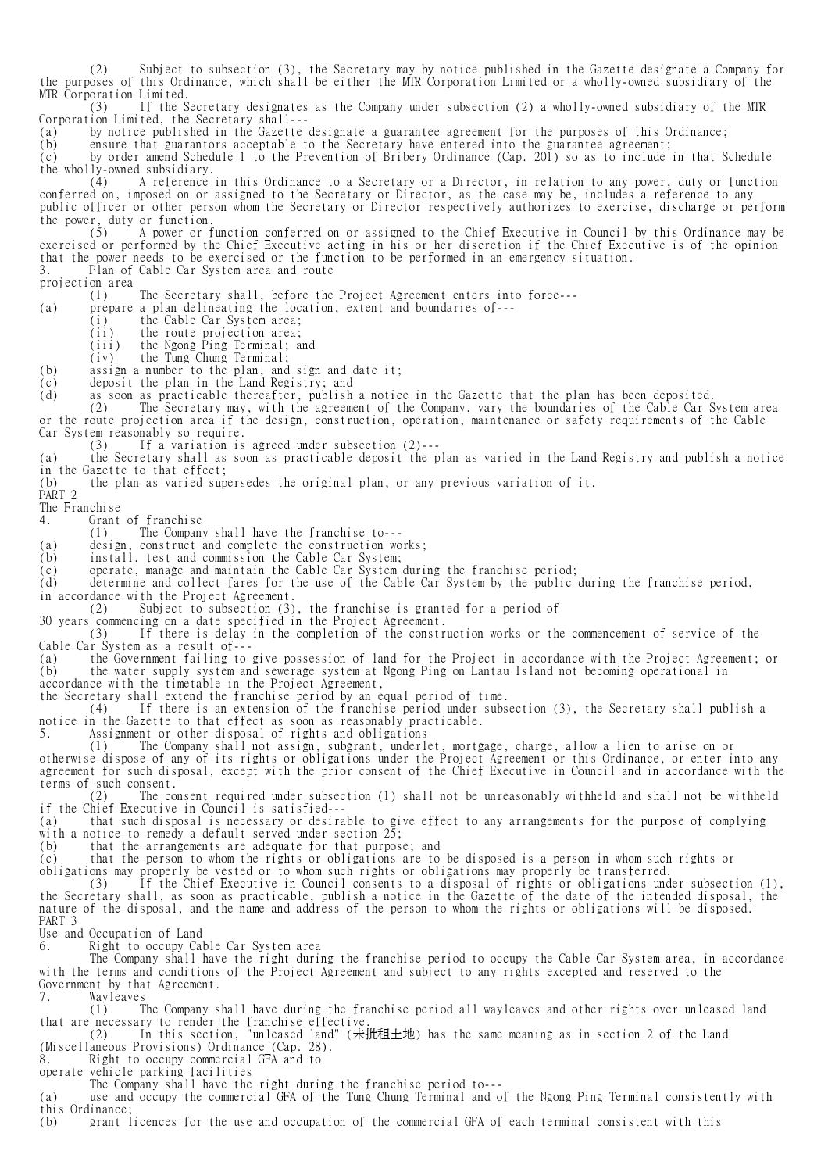(2) Subject to subsection (3), the Secretary may by notice published in the Gazette designate a Company for the purposes of this Ordinance, which shall be either the MTR Corporation Limited or a wholly-owned subsidiary of the MTR Corporation Limited.

 (3) If the Secretary designates as the Company under subsection (2) a wholly-owned subsidiary of the MTR Corporation Limited, the Secretary shall---

(a) by notice published in the Gazette designate a guarantee agreement for the purposes of this Ordinance;<br>(b) ensure that guarantors acceptable to the Secretary have entered into the guarantee agreement;

(b) ensure that guarantors acceptable to the Secretary have entered into the guarantee agreement;<br>(c) by order amend Schedule 1 to the Prevention of Bribery Ordinance (Cap. 201) so as to include

by order amend Schedule 1 to the Prevention of Bribery Ordinance (Cap. 201) so as to include in that Schedule the wholly-owned subsidiary.

 (4) A reference in this Ordinance to a Secretary or a Director, in relation to any power, duty or function conferred on, imposed on or assigned to the Secretary or Director, as the case may be, includes a reference to any public officer or other person whom the Secretary or Director respectively authorizes to exercise, discharge or perform the power, duty or function.<br>(5) A power or f

 (5) A power or function conferred on or assigned to the Chief Executive in Council by this Ordinance may be exercised or performed by the Chief Executive acting in his or her discretion if the Chief Executive is of the opinion that the power needs to be exercised or the function to be performed in an emergency situation.<br>3. Plan of Cable Car System area and route Plan of Cable Car System area and route

projection area

(1) The Secretary shall, before the Project Agreement enters into force---

(a) prepare a plan delineating the location, extent and boundaries of---

(i) the Cable Car System area;

 $(iii)$  the route projection area;

(iii) the Ngong Ping Terminal; and

(iv) the Tung Chung Terminal;

(iv) the Tung Chung Terminal;<br>(b) assign a number to the plan, and sign and date it;

(c) deposit the plan in the Land Registry; and

(d) as soon as practicable thereafter, publish a notice in the Gazette that the plan has been deposited.

 (2) The Secretary may, with the agreement of the Company, vary the boundaries of the Cable Car System area or the route projection area if the design, construction, operation, maintenance or safety requirements of the Cable Car System reasonably so require.

(3) If a variation is agreed under subsection (2)---

(a) the Secretary shall as soon as practicable deposit the plan as varied in the Land Registry and publish a notice in the Gazette to that effect;

(b) the plan as varied supersedes the original plan, or any previous variation of it.

PART<sub>2</sub> The Franchise

4. Grant of franchise

(1) The Company shall have the franchise to---

(a) design, construct and complete the construction works;<br>(b) install, test and commission the Cable Car System;

(b) install, test and commission the Cable Car System;<br>(c) operate, manage and maintain the Cable Car System (c) operate, manage and maintain the Cable Car System during the franchise period;

(d) determine and collect fares for the use of the Cable Car System by the public during the franchise period,

in accordance with the Project Agreement.

(2) Subject to subsection (3), the franchise is granted for a period of

30 years commencing on a date specified in the Project Agreement.<br>(3) If there is delay in the completion of the constr

If there is delay in the completion of the construction works or the commencement of service of the Cable Car System as a result of---

(a) the Government failing to give possession of land for the Project in accordance with the Project Agreement; or (b) the water supply system and sewerage system at Ngong Ping on Lantau Island not becoming operational in accordance with the timetable in the Project Agreement,

the Secretary shall extend the franchise period by an equal period of time.

 (4) If there is an extension of the franchise period under subsection (3), the Secretary shall publish a notice in the Gazette to that effect as soon as reasonably practicable.

5. Assignment or other disposal of rights and obligations

(1) The Company shall not assign, subgrant, underlet, mortgage, charge, allow a lien to arise on or

otherwise dispose of any of its rights or obligations under the Project Agreement or this Ordinance, or enter into any agreement for such disposal, except with the prior consent of the Chief Executive in Council and in accordance with the terms of such consent.

 (2) The consent required under subsection (1) shall not be unreasonably withheld and shall not be withheld if the Chief Executive in Council is satisfied---

(a) that such disposal is necessary or desirable to give effect to any arrangements for the purpose of complying with a notice to remedy a default served under section 25;

(b) that the arrangements are adequate for that purpose; and

(c) that the person to whom the rights or obligations are to be disposed is a person in whom such rights or

obligations may properly be vested or to whom such rights or obligations may properly be transferred.

 (3) If the Chief Executive in Council consents to a disposal of rights or obligations under subsection (1), the Secretary shall, as soon as practicable, publish a notice in the Gazette of the date of the intended disposal, the nature of the disposal, and the name and address of the person to whom the rights or obligations will be disposed. PART 3

Use and Occupation of Land

6. Right to occupy Cable Car System area

 The Company shall have the right during the franchise period to occupy the Cable Car System area, in accordance with the terms and conditions of the Project Agreement and subject to any rights excepted and reserved to the Government by that Agreement.<br>7. Wayleaves

Wayleaves

 (1) The Company shall have during the franchise period all wayleaves and other rights over unleased land that are necessary to render the franchise effective.

 (2) In this section, "unleased land" (未批租土地) has the same meaning as in section 2 of the Land (Miscellaneous Provisions) Ordinance (Cap. 28).

8. Right to occupy commercial GFA and to

operate vehicle parking facilities

The Company shall have the right during the franchise period to---

(a) use and occupy the commercial GFA of the Tung Chung Terminal and of the Ngong Ping Terminal consistently with

this Ordinance;

(b) grant licences for the use and occupation of the commercial GFA of each terminal consistent with this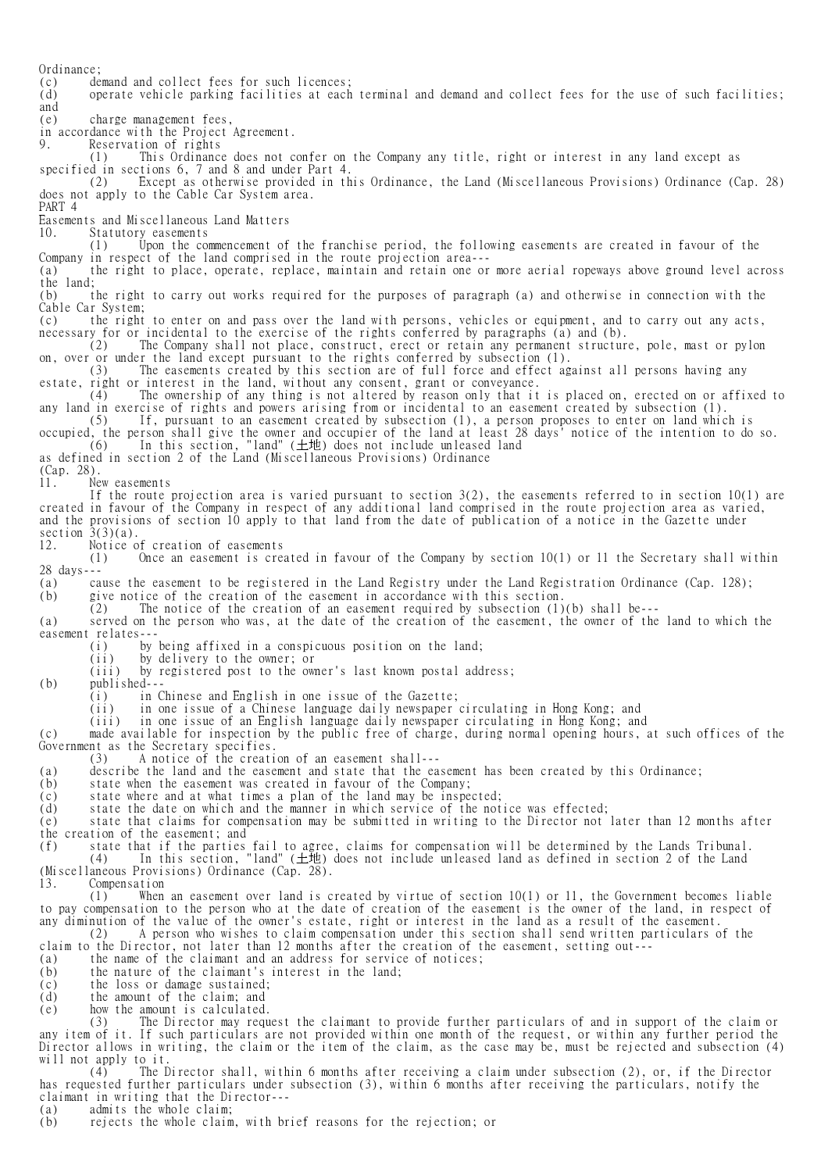Ordinance;<br>(c) de demand and collect fees for such licences; (d) operate vehicle parking facilities at each terminal and demand and collect fees for the use of such facilities; and (e) charge management fees, in accordance with the Project Agreement.<br>9. Reservation of rights Reservation of rights (1) This Ordinance does not confer on the Company any title, right or interest in any land except as specified in sections 6, 7 and 8 and under Part 4. (2) Except as otherwise provided in this Ordinance, the Land (Miscellaneous Provisions) Ordinance (Cap. 28) does not apply to the Cable Car System area. PART 4 Easements and Miscellaneous Land Matters 10. Statutory easements (1) Upon the commencement of the franchise period, the following easements are created in favour of the Company in respect of the land comprised in the route projection area--- (a) the right to place, operate, replace, maintain and retain one or more aerial ropeways above ground level across the land; (b) the right to carry out works required for the purposes of paragraph (a) and otherwise in connection with the Cable Car System; (c) the right to enter on and pass over the land with persons, vehicles or equipment, and to carry out any acts, necessary for or incidental to the exercise of the rights conferred by paragraphs (a) and (b). (2) The Company shall not place, construct, erect or retain any permanent structure, pole, mast or pylon on, over or under the land except pursuant to the rights conferred by subsection (1). (3) The easements created by this section are of full force and effect against all persons having any estate, right or interest in the land, without any consent, grant or conveyance. (4) The ownership of any thing is not altered by reason only that it is placed on, erected on or affixed to any land in exercise of rights and powers arising from or incidental to an easement created by subsection (1). (5) If, pursuant to an easement created by subsection (1), a person proposes to enter on land which is occupied, the person shall give the owner and occupier of the land at least 28 days' notice of the intention to do so. (6) In this section, "land" (土地) does not include unleased land as defined in section 2 of the Land (Miscellaneous Provisions) Ordinance (Cap. 28). 11. New easements If the route projection area is varied pursuant to section 3(2), the easements referred to in section 10(1) are created in favour of the Company in respect of any additional land comprised in the route projection area as varied, and the provisions of section 10 apply to that land from the date of publication of a notice in the Gazette under section  $3(3)(a)$ . 12. Notice of creation of easements (1) Once an easement is created in favour of the Company by section 10(1) or 11 the Secretary shall within 28 days--- (a) cause the easement to be registered in the Land Registry under the Land Registration Ordinance (Cap. 128); (b) give notice of the creation of the easement in accordance with this section.  $(2)$  The notice of the creation of an easement required by subsection (1)(b) shall be---(a) served on the person who was, at the date of the creation of the easement, the owner of the land to which the easement relates--- (i) by being affixed in a conspicuous position on the land; (ii) by delivery to the owner; or (iii) by registered post to the owner's last known postal address; (b) published--- (i) in Chinese and English in one issue of the Gazette; (ii) in one issue of a Chinese language daily newspaper circulating in Hong Kong; and (iii) in one issue of an English language daily newspaper circulating in Hong Kong; and (c) made available for inspection by the public free of charge, during normal opening hours, at such offices of the Government as the Secretary specifies. (3) A notice of the creation of an easement shall--- (a) describe the land and the easement and state that the easement has been created by this Ordinance; (b) state when the easement was created in favour of the Company; (c) state where and at what times a plan of the land may be inspected; (d) state the date on which and the manner in which service of the notice was effected; (e) state that claims for compensation may be submitted in writing to the Director not later than 12 months after the creation of the easement; and (f) state that if the parties fail to agree, claims for compensation will be determined by the Lands Tribunal. (4) In this section, "land" (土地) does not include unleased land as defined in section 2 of the Land (Miscellaneous Provisions) Ordinance (Cap. 28). 13. Compensation (1) When an easement over land is created by virtue of section 10(1) or 11, the Government becomes liable to pay compensation to the person who at the date of creation of the easement is the owner of the land, in respect of any diminution of the value of the owner's estate, right or interest in the land as a result of the easement. (2) A person who wishes to claim compensation under this section shall send written particulars of the claim to the Director, not later than 12 months after the creation of the easement, setting out--- (a) the name of the claimant and an address for service of notices; (b) the nature of the claimant's interest in the land; (c) the loss or damage sustained;<br>(d) the amount of the claim; and the amount of the claim; and (e) how the amount is calculated. (3) The Director may request the claimant to provide further particulars of and in support of the claim or any item of it. If such particulars are not provided within one month of the request, or within any further period the Director allows in writing, the claim or the item of the claim, as the case may be, must be rejected and subsection (4) will not apply to it.<br>(4) The  $\Gamma$ 

The Director shall, within 6 months after receiving a claim under subsection (2), or, if the Director has requested further particulars under subsection (3), within 6 months after receiving the particulars, notify the claimant in writing that the Director---

(a) admits the whole claim;<br>(b) rejects the whole claim

rejects the whole claim, with brief reasons for the rejection; or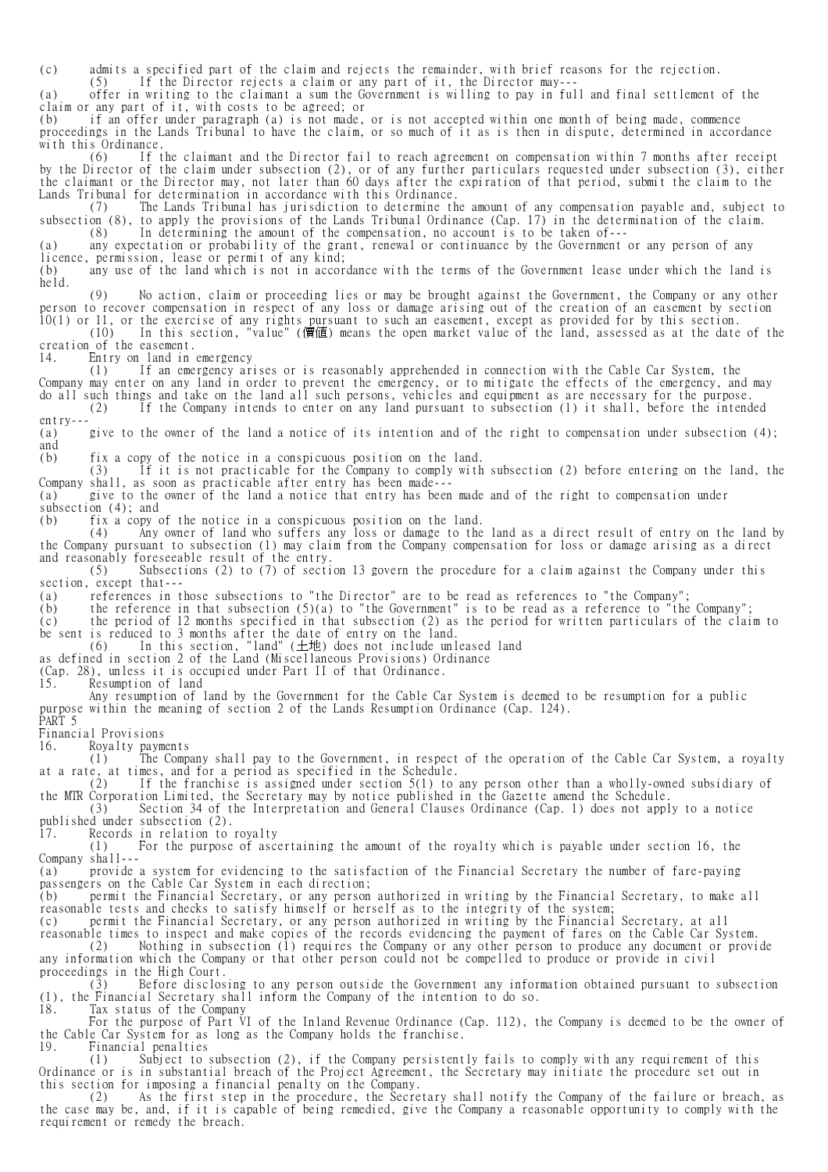(c) admits a specified part of the claim and rejects the remainder, with brief reasons for the rejection.<br>(5) If the Director rejects a claim or any part of it, the Director may---

If the Director rejects a claim or any part of it, the Director may---

(a) offer in writing to the claimant a sum the Government is willing to pay in full and final settlement of the claim or any part of it, with costs to be agreed; or

(b) if an offer under paragraph (a) is not made, or is not accepted within one month of being made, commence proceedings in the Lands Tribunal to have the claim, or so much of it as is then in dispute, determined in accordance with this Ordinance.<br> $(6)$  If t

 (6) If the claimant and the Director fail to reach agreement on compensation within 7 months after receipt by the Director of the claim under subsection (2), or of any further particulars requested under subsection (3), either the claimant or the Director may, not later than 60 days after the expiration of that period, submit the claim to the Lands Tribunal for determination in accordance with this Ordinance.<br>(7) The Lands Tribunal has iurisdiction to determine the

The Lands Tribunal has jurisdiction to determine the amount of any compensation payable and, subject to subsection (8), to apply the provisions of the Lands Tribunal Ordinance (Cap. 17) in the determination of the claim. (8) In determining the amount of the compensation, no account is to be taken of---

(a) any expectation or probability of the grant, renewal or continuance by the Government or any person of any licence, permission, lease or permit of any kind;

(b) any use of the land which is not in accordance with the terms of the Government lease under which the land is held.

 (9) No action, claim or proceeding lies or may be brought against the Government, the Company or any other person to recover compensation in respect of any loss or damage arising out of the creation of an easement by section 10(1) or 11, or the exercise of any rights pursuant to such an easement, except as provided for by this section.

 (10) In this section, "value" (價值) means the open market value of the land, assessed as at the date of the creation of the easement.

14. Entry on land in emergency

 (1) If an emergency arises or is reasonably apprehended in connection with the Cable Car System, the Company may enter on any land in order to prevent the emergency, or to mitigate the effects of the emergency, and may do all such things and take on the land all such persons, vehicles and equipment as are necessary for the purpose. (2) If the Company intends to enter on any land pursuant to subsection (1) it shall, before the intended

entry---

(a) give to the owner of the land a notice of its intention and of the right to compensation under subsection (4); and

(b) fix a copy of the notice in a conspicuous position on the land.

 (3) If it is not practicable for the Company to comply with subsection (2) before entering on the land, the Company shall, as soon as practicable after entry has been made---

(a) give to the owner of the land a notice that entry has been made and of the right to compensation under subsection (4); and

(b) fix a copy of the notice in a conspicuous position on the land.<br>(4) Any owner of land who suffers any loss or damage to the

Any owner of land who suffers any loss or damage to the land as a direct result of entry on the land by the Company pursuant to subsection (1) may claim from the Company compensation for loss or damage arising as a direct and reasonably foreseeable result of the entry.<br>(5) Subsections (2) to (7) of sections

Subsections (2) to (7) of section 13 govern the procedure for a claim against the Company under this section, except that---

(a) references in those subsections to "the Director" are to be read as references to "the Company";

(b) the reference in that subsection  $(5)(a)$  to "the Government" is to be read as a reference to "the Company"; (c) the period of 12 months specified in that subsection (2) as the period for written particulars of the claim to

be sent is reduced to 3 months after the date of entry on the land.

(6) In this section, "land" (土地) does not include unleased land

as defined in section 2 of the Land (Miscellaneous Provisions) Ordinance

(Cap. 28), unless it is occupied under Part II of that Ordinance.

Resumption of land

 Any resumption of land by the Government for the Cable Car System is deemed to be resumption for a public purpose within the meaning of section 2 of the Lands Resumption Ordinance (Cap. 124).

PART 5

Financial Provisions

16. Royalty payments

 (1) The Company shall pay to the Government, in respect of the operation of the Cable Car System, a royalty at a rate, at times, and for a period as specified in the Schedule.

 (2) If the franchise is assigned under section 5(1) to any person other than a wholly-owned subsidiary of the MTR Corporation Limited, the Secretary may by notice published in the Gazette amend the Schedule. (3) Section 34 of the Interpretation and General Clauses Ordinance (Cap. 1) does not apply to a notice published under subsection (2).

17. Records in relation to royalty

 (1) For the purpose of ascertaining the amount of the royalty which is payable under section 16, the Company shall---

(a) provide a system for evidencing to the satisfaction of the Financial Secretary the number of fare-paying passengers on the Cable Car System in each direction;

(b) permit the Financial Secretary, or any person authorized in writing by the Financial Secretary, to make all reasonable tests and checks to satisfy himself or herself as to the integrity of the system;

(c) permit the Financial Secretary, or any person authorized in writing by the Financial Secretary, at all

reasonable times to inspect and make copies of the records evidencing the payment of fares on the Cable Car System. (2) Nothing in subsection (1) requires the Company or any other person to produce any document or provide any information which the Company or that other person could not be compelled to produce or provide in civil proceedings in the High Court.

 (3) Before disclosing to any person outside the Government any information obtained pursuant to subsection (1), the Financial Secretary shall inform the Company of the intention to do so. 18. Tax status of the Company

For the purpose of Part VI of the Inland Revenue Ordinance (Cap. 112), the Company is deemed to be the owner of

the Cable Car System for as long as the Company holds the franchise. 19. Financial penalties

 (1) Subject to subsection (2), if the Company persistently fails to comply with any requirement of this Ordinance or is in substantial breach of the Project Agreement, the Secretary may initiate the procedure set out in this section for imposing a financial penalty on the Company.

 (2) As the first step in the procedure, the Secretary shall notify the Company of the failure or breach, as the case may be, and, if it is capable of being remedied, give the Company a reasonable opportunity to comply with the requirement or remedy the breach.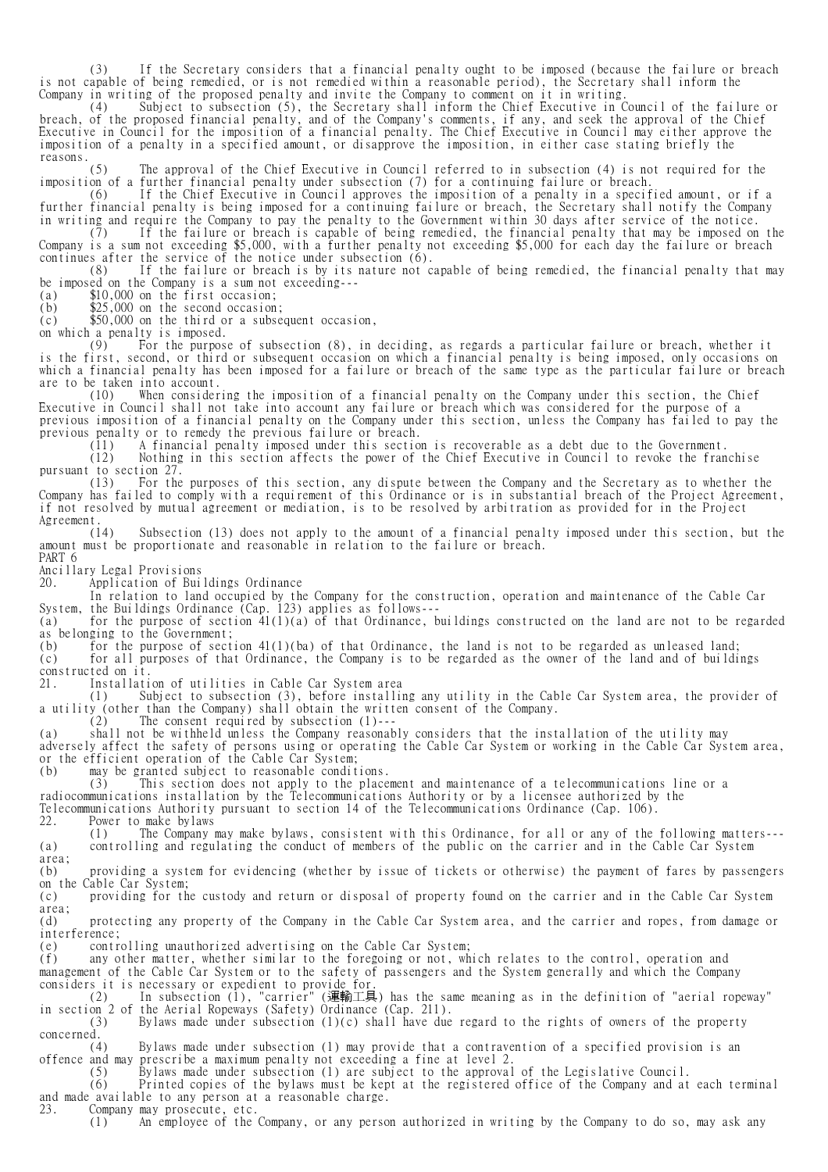(3) If the Secretary considers that a financial penalty ought to be imposed (because the failure or breach is not capable of being remedied, or is not remedied within a reasonable period), the Secretary shall inform the Company in writing of the proposed penalty and invite the Company to comment on it in writing.

 (4) Subject to subsection (5), the Secretary shall inform the Chief Executive in Council of the failure or breach, of the proposed financial penalty, and of the Company's comments, if any, and seek the approval of the Chief Executive in Council for the imposition of a financial penalty. The Chief Executive in Council may either approve the imposition of a penalty in a specified amount, or disapprove the imposition, in either case stating briefly the

reasons.  $(5)$ The approval of the Chief Executive in Council referred to in subsection (4) is not required for the imposition of a further financial penalty under subsection (7) for a continuing failure or breach.

 (6) If the Chief Executive in Council approves the imposition of a penalty in a specified amount, or if a further financial penalty is being imposed for a continuing failure or breach, the Secretary shall notify the Company in writing and require the Company to pay the penalty to the Government within 30 days after service of the notice.

 (7) If the failure or breach is capable of being remedied, the financial penalty that may be imposed on the Company is a sum not exceeding \$5,000, with a further penalty not exceeding \$5,000 for each day the failure or breach continues after the service of the notice under subsection (6).

 (8) If the failure or breach is by its nature not capable of being remedied, the financial penalty that may be imposed on the Company is a sum not exceeding---

(a) \$10,000 on the first occasion;

(b) \$25,000 on the second occasion;

 $(c)$  \$50,000 on the third or a subsequent occasion,

on which a penalty is imposed.<br>(9) For the purpose For the purpose of subsection (8), in deciding, as regards a particular failure or breach, whether it is the first, second, or third or subsequent occasion on which a financial penalty is being imposed, only occasions on which a financial penalty has been imposed for a failure or breach of the same type as the particular failure or breach

are to be taken into account.<br>(10) When consider When considering the imposition of a financial penalty on the Company under this section, the Chief Executive in Council shall not take into account any failure or breach which was considered for the purpose of a previous imposition of a financial penalty on the Company under this section, unless the Company has failed to pay the previous penalty or to remedy the previous failure or breach.

(11) A financial penalty imposed under this section is recoverable as a debt due to the Government.

 (12) Nothing in this section affects the power of the Chief Executive in Council to revoke the franchise pursuant to section 27.

 (13) For the purposes of this section, any dispute between the Company and the Secretary as to whether the Company has failed to comply with a requirement of this Ordinance or is in substantial breach of the Project Agreement, if not resolved by mutual agreement or mediation, is to be resolved by arbitration as provided for in the Project Agreement.<br>(14)

Subsection (13) does not apply to the amount of a financial penalty imposed under this section, but the amount must be proportionate and reasonable in relation to the failure or breach. PART 6

Ancillary Legal Provisions

20. Application of Buildings Ordinance

 In relation to land occupied by the Company for the construction, operation and maintenance of the Cable Car System, the Buildings Ordinance (Cap. 123) applies as follows---

(a) for the purpose of section 41(1)(a) of that Ordinance, buildings constructed on the land are not to be regarded as belonging to the Government;

(b) for the purpose of section  $41(1)(ba)$  of that Ordinance, the land is not to be regarded as unleased land; (c) for all purposes of that Ordinance, the Company is to be regarded as the owner of the land and of buildings constructed on it.<br>21. Installati

Installation of utilities in Cable Car System area

 (1) Subject to subsection (3), before installing any utility in the Cable Car System area, the provider of a utility (other than the Company) shall obtain the written consent of the Company.

(2) The consent required by subsection (1)---

(a) shall not be withheld unless the Company reasonably considers that the installation of the utility may adversely affect the safety of persons using or operating the Cable Car System or working in the Cable Car System area, or the efficient operation of the Cable Car System;

(b) may be granted subject to reasonable conditions.

(3) This section does not apply to the placement and maintenance of a telecommunications line or a

radiocommunications installation by the Telecommunications Authority or by a licensee authorized by the

Telecommunications Authority pursuant to section 14 of the Telecommunications Ordinance (Cap. 106).

22. Power to make bylaws

 (1) The Company may make bylaws, consistent with this Ordinance, for all or any of the following matters--- (a) controlling and regulating the conduct of members of the public on the carrier and in the Cable Car System area;

(b) providing a system for evidencing (whether by issue of tickets or otherwise) the payment of fares by passengers on the Cable Car System;

(c) providing for the custody and return or disposal of property found on the carrier and in the Cable Car System area;

(d) protecting any property of the Company in the Cable Car System area, and the carrier and ropes, from damage or interference;

(e) controlling unauthorized advertising on the Cable Car System;

(f) any other matter, whether similar to the foregoing or not, which relates to the control, operation and management of the Cable Car System or to the safety of passengers and the System generally and which the Company

considers it is necessary or expedient to provide for.<br>(2) In subsection (1), "carrier" (運輸工員 (2) In subsection (1), "carrier" (運輸工具) has the same meaning as in the definition of "aerial ropeway" in section 2 of the Aerial Ropeways (Safety) Ordinance (Cap. 211).

(3) Bylaws made under subsection (1)(c) shall have due regard to the rights of owners of the property

concerned.<br> $(4)$ Bylaws made under subsection (1) may provide that a contravention of a specified provision is an offence and may prescribe a maximum penalty not exceeding a fine at level 2.

Bylaws made under subsection (1) are subject to the approval of the Legislative Council.

 (6) Printed copies of the bylaws must be kept at the registered office of the Company and at each terminal and made available to any person at a reasonable charge.<br>23. Company may prosecute, etc.

23. Company may prosecute, etc.

(1) An employee of the Company, or any person authorized in writing by the Company to do so, may ask any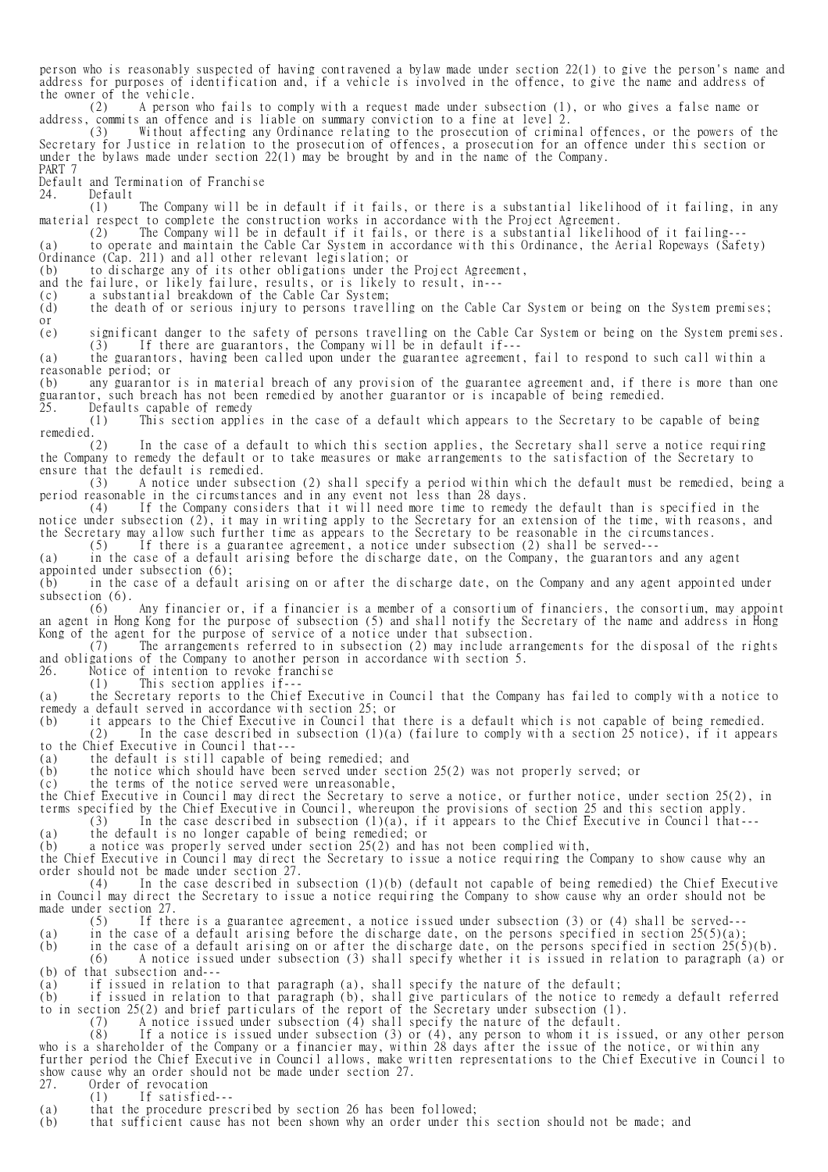person who is reasonably suspected of having contravened a bylaw made under section 22(1) to give the person's name and address for purposes of identification and, if a vehicle is involved in the offence, to give the name and address of the owner of the vehicle.

 (2) A person who fails to comply with a request made under subsection (1), or who gives a false name or address, commits an offence and is liable on summary conviction to a fine at level 2.

 (3) Without affecting any Ordinance relating to the prosecution of criminal offences, or the powers of the Secretary for Justice in relation to the prosecution of offences, a prosecution for an offence under this section or under the bylaws made under section 22(1) may be brought by and in the name of the Company. PART 7

Default and Termination of Franchise<br>24. Default

Default<br>(1) The Company will be in default if it fails, or there is a substantial likelihood of it failing, in any material respect to complete the construction works in accordance with the Project Agreement.

(2) The Company will be in default if it fails, or there is a substantial likelihood of it failing---

(a) to operate and maintain the Cable Car System in accordance with this Ordinance, the Aerial Ropeways (Safety) Ordinance (Cap. 211) and all other relevant legislation; or

(b) to discharge any of its other obligations under the Project Agreement,

and the failure, or likely failure, results, or is likely to result, in---

(c) a substantial breakdown of the Cable Car System;

(d) the death of or serious injury to persons travelling on the Cable Car System or being on the System premises; or

(e) significant danger to the safety of persons travelling on the Cable Car System or being on the System premises. (3) If there are guarantors, the Company will be in default if---

(a) the guarantors, having been called upon under the guarantee agreement, fail to respond to such call within a reasonable period; or

any guarantor is in material breach of any provision of the guarantee agreement and, if there is more than one guarantor, such breach has not been remedied by another guarantor or is incapable of being remedied. 25. Defaults capable of remedy

Defaults capable of remedy<br>(1) This section applies in the case of a default which appears to the Secretary to be capable of being remedied.

 (2) In the case of a default to which this section applies, the Secretary shall serve a notice requiring the Company to remedy the default or to take measures or make arrangements to the satisfaction of the Secretary to ensure that the default is remedied.<br>(3) A notice under subse

 (3) A notice under subsection (2) shall specify a period within which the default must be remedied, being a period reasonable in the circumstances and in any event not less than 28 days.<br>(4) If the Company considers that it will need more time to remedy

If the Company considers that it will need more time to remedy the default than is specified in the notice under subsection (2), it may in writing apply to the Secretary for an extension of the time, with reasons, and the Secretary may allow such further time as appears to the Secretary to be reasonable in the circumstances.

(5) If there is a guarantee agreement, a notice under subsection (2) shall be served---

(a) in the case of a default arising before the discharge date, on the Company, the guarantors and any agent appointed under subsection (6);

(b) in the case of a default arising on or after the discharge date, on the Company and any agent appointed under subsection  $(6)$ .

 (6) Any financier or, if a financier is a member of a consortium of financiers, the consortium, may appoint an agent in Hong Kong for the purpose of subsection (5) and shall notify the Secretary of the name and address in Hong Kong of the agent for the purpose of service of a notice under that subsection.

 (7) The arrangements referred to in subsection (2) may include arrangements for the disposal of the rights and obligations of the Company to another person in accordance with section 5.

26. Notice of intention to revoke franchise

(1) This section applies if---

(a) the Secretary reports to the Chief Executive in Council that the Company has failed to comply with a notice to remedy a default served in accordance with section 25; or

(b) it appears to the Chief Executive in Council that there is a default which is not capable of being remedied.

 (2) In the case described in subsection (1)(a) (failure to comply with a section 25 notice), if it appears to the Chief Executive in Council that---

(a) the default is still capable of being remedied; and

(b) the notice which should have been served under section 25(2) was not properly served; or

(c) the terms of the notice served were unreasonable,

the Chief Executive in Council may direct the Secretary to serve a notice, or further notice, under section 25(2), in terms specified by the Chief Executive in Council, whereupon the provisions of section 25 and this section apply.

 $(3)$  In the case described in subsection  $(1)(a)$ , if it appears to the Chief Executive in Council that---

(a) the default is no longer capable of being remedied; or

(b) a notice was properly served under section 25(2) and has not been complied with,

the Chief Executive in Council may direct the Secretary to issue a notice requiring the Company to show cause why an order should not be made under section 27.

 (4) In the case described in subsection (1)(b) (default not capable of being remedied) the Chief Executive in Council may direct the Secretary to issue a notice requiring the Company to show cause why an order should not be made under section 27.<br>(5) If the

If there is a guarantee agreement, a notice issued under subsection  $(3)$  or  $(4)$  shall be served--

(a) in the case of a default arising before the discharge date, on the persons specified in section  $25(5)(a)$ ;

(b) in the case of a default arising on or after the discharge date, on the persons specified in section 25(5)(b). (6) A notice issued under subsection (3) shall specify whether it is issued in relation to paragraph (a) or (b) of that subsection and---

(a) if issued in relation to that paragraph (a), shall specify the nature of the default;

if issued in relation to that paragraph (b), shall give particulars of the notice to remedy a default referred to in section 25(2) and brief particulars of the report of the Secretary under subsection (1).

(7) A notice issued under subsection (4) shall specify the nature of the default.

 (8) If a notice is issued under subsection (3) or (4), any person to whom it is issued, or any other person who is a shareholder of the Company or a financier may, within 28 days after the issue of the notice, or within any further period the Chief Executive in Council allows, make written representations to the Chief Executive in Council to show cause why an order should not be made under section 27.<br>27. Order of revocation Order of revocation

(1) If satisfied---

(a) that the procedure prescribed by section 26 has been followed;<br>(b) that sufficient cause has not been shown why an order under the

that sufficient cause has not been shown why an order under this section should not be made; and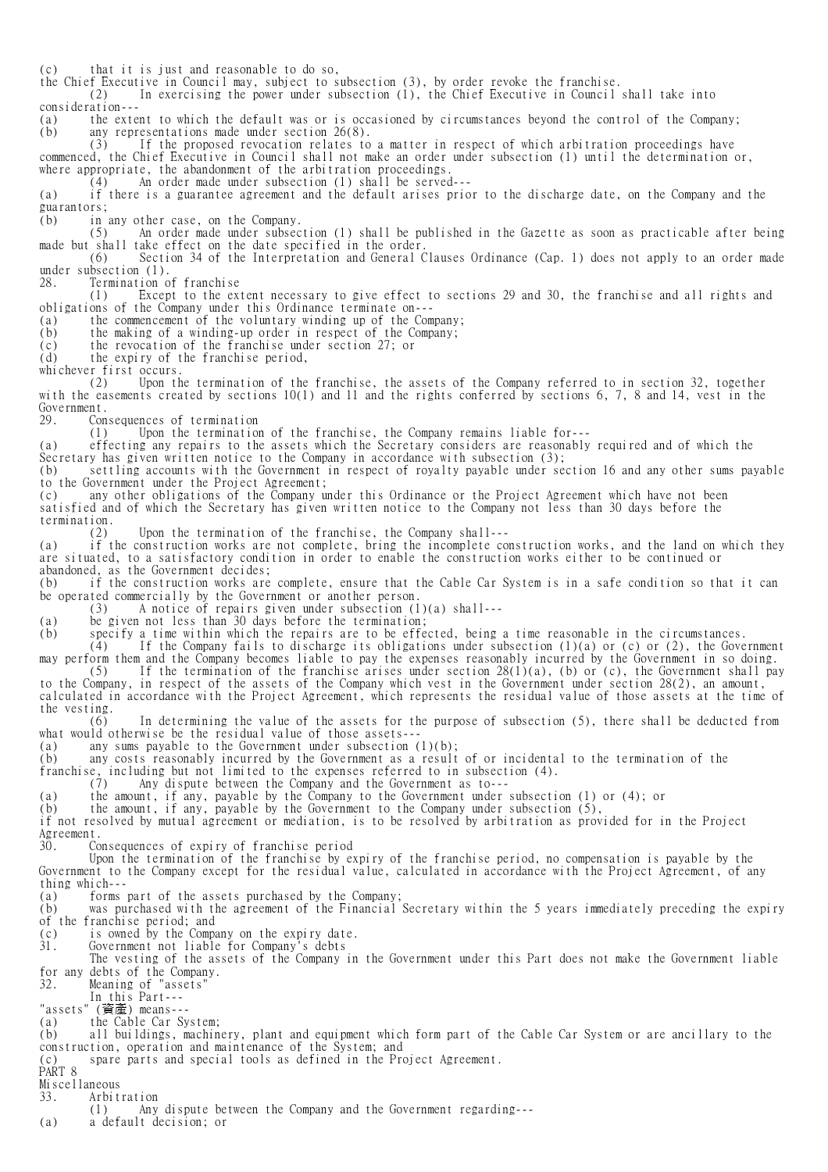(c) that it is just and reasonable to do so,

the Chief Executive in Council may, subject to subsection (3), by order revoke the franchise.

In exercising the power under subsection  $(1)$ , the Chief Executive in Council shall take into consideration---

(a) the extent to which the default was or is occasioned by circumstances beyond the control of the Company;<br>(b) any representations made under section 26(8). any representations made under section  $26(8)$ .<br>(3) If the proposed revocation relates to

If the proposed revocation relates to a matter in respect of which arbitration proceedings have commenced, the Chief Executive in Council shall not make an order under subsection (1) until the determination or, where appropriate, the abandonment of the arbitration proceedings.

(4) An order made under subsection (1) shall be served---

(a) if there is a guarantee agreement and the default arises prior to the discharge date, on the Company and the guarantors;

(b) in any other case, on the Company.

 (5) An order made under subsection (1) shall be published in the Gazette as soon as practicable after being made but shall take effect on the date specified in the order.

 (6) Section 34 of the Interpretation and General Clauses Ordinance (Cap. 1) does not apply to an order made under subsection (1).

28. Termination of franchise

 (1) Except to the extent necessary to give effect to sections 29 and 30, the franchise and all rights and obligations of the Company under this Ordinance terminate on---

(a) the commencement of the voluntary winding up of the Company;

(b) the making of a winding-up order in respect of the Company;

(c) the revocation of the franchise under section 27; or

(d) the expiry of the franchise period,

whichever first occurs.

 (2) Upon the termination of the franchise, the assets of the Company referred to in section 32, together with the easements created by sections  $10(1)$  and 11 and the rights conferred by sections 6, 7, 8 and 14, vest in the Government.

29. Consequences of termination

(1) Upon the termination of the franchise, the Company remains liable for---

(a) effecting any repairs to the assets which the Secretary considers are reasonably required and of which the Secretary has given written notice to the Company in accordance with subsection (3);

(b) settling accounts with the Government in respect of royalty payable under section 16 and any other sums payable to the Government under the Project Agreement;

(c) any other obligations of the Company under this Ordinance or the Project Agreement which have not been satisfied and of which the Secretary has given written notice to the Company not less than 30 days before the termination.

(2) Upon the termination of the franchise, the Company shall---

(a) if the construction works are not complete, bring the incomplete construction works, and the land on which they are situated, to a satisfactory condition in order to enable the construction works either to be continued or abandoned, as the Government decides;

(b) if the construction works are complete, ensure that the Cable Car System is in a safe condition so that it can be operated commercially by the Government or another person.

(3) A notice of repairs given under subsection (1)(a) shall---

(a) be given not less than 30 days before the termination;<br>(b) specify a time within which the repairs are to be effe

specify a time within which the repairs are to be effected, being a time reasonable in the circumstances.<br>(4) If the Company fails to discharge its obligations under subsection (1)(a) or (c) or (2), the Gove If the Company fails to discharge its obligations under subsection (1)(a) or (c) or (2), the Government

may perform them and the Company becomes liable to pay the expenses reasonably incurred by the Government in so doing. (5) If the termination of the franchise arises under section  $28(1)(a)$ , (b) or (c), the Government shall pay to the Company, in respect of the assets of the Company which vest in the Government under section 28(2), an amount, calculated in accordance with the Project Agreement, which represents the residual value of those assets at the time of

the vesting. (6) In determining the value of the assets for the purpose of subsection (5), there shall be deducted from what would otherwise be the residual value of those assets-

(a) any sums payable to the Government under subsection (1)(b);

(b) any costs reasonably incurred by the Government as a result of or incidental to the termination of the

franchise, including but not limited to the expenses referred to in subsection (4).

(7) Any dispute between the Company and the Government as to---

(a) the amount, if any, payable by the Company to the Government under subsection (1) or (4); or

(b) the amount, if any, payable by the Government to the Company under subsection (5),

if not resolved by mutual agreement or mediation, is to be resolved by arbitration as provided for in the Project Agreement.

30. Consequences of expiry of franchise period

 Upon the termination of the franchise by expiry of the franchise period, no compensation is payable by the Government to the Company except for the residual value, calculated in accordance with the Project Agreement, of any thing which---

(a) forms part of the assets purchased by the Company;

(b) was purchased with the agreement of the Financial Secretary within the 5 years immediately preceding the expiry of the franchise period; and  $(c)$  is owned by the Compa

(c) is owned by the Company on the expiry date.<br>31. Government not liable for Company's debts

31. Government not liable for Company's debts

 The vesting of the assets of the Company in the Government under this Part does not make the Government liable for any debts of the Company.

32. Meaning of "assets"

In this Part---<br>"assets" (資產) means--

(資產) means---

(a) the Cable Car System;

(b) all buildings, machinery, plant and equipment which form part of the Cable Car System or are ancillary to the construction, operation and maintenance of the System; and

(c) spare parts and special tools as defined in the Project Agreement.

PART 8

Miscellaneous 33. Arbitration

(1) Any dispute between the Company and the Government regarding---<br>(a) a default decision: or

a default decision: or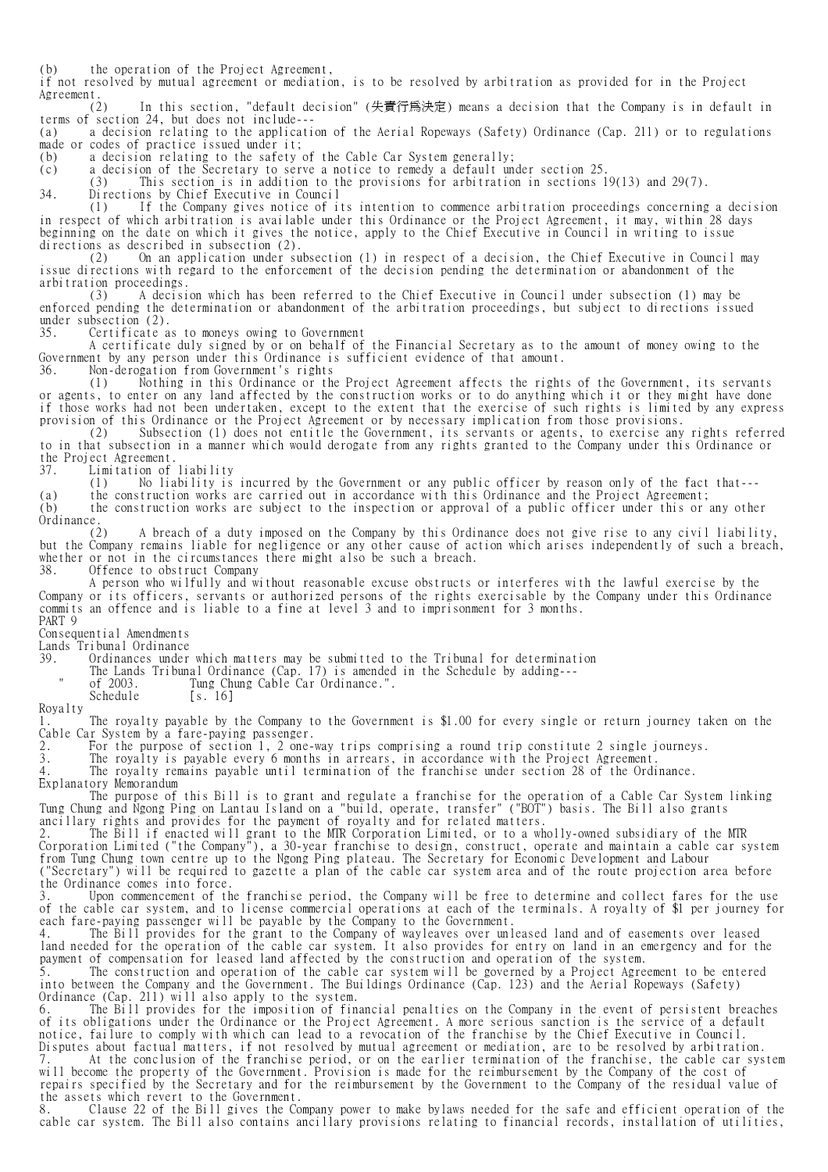(b) the operation of the Project Agreement,

if not resolved by mutual agreement or mediation, is to be resolved by arbitration as provided for in the Project Agreement.  $(2)$ 

In this section, "default decision" (失責行爲決定) means a decision that the Company is in default in terms of section 24, but does not include---

(a) a decision relating to the application of the Aerial Ropeways (Safety) Ordinance (Cap. 211) or to regulations made or codes of practice issued under it;<br>(b) a decision relating to the safety

(b) a decision relating to the safety of the Cable Car System generally;

(c) a decision of the Secretary to serve a notice to remedy a default under section 25.

(3) This section is in addition to the provisions for arbitration in sections 19(13) and 29(7).

34. Directions by Chief Executive in Council

 (1) If the Company gives notice of its intention to commence arbitration proceedings concerning a decision in respect of which arbitration is available under this Ordinance or the Project Agreement, it may, within 28 days beginning on the date on which it gives the notice, apply to the Chief Executive in Council in writing to issue directions as described in subsection (2).

 (2) On an application under subsection (1) in respect of a decision, the Chief Executive in Council may issue directions with regard to the enforcement of the decision pending the determination or abandonment of the arbitration proceedings.

 (3) A decision which has been referred to the Chief Executive in Council under subsection (1) may be enforced pending the determination or abandonment of the arbitration proceedings, but subject to directions issued under subsection (2).<br>35. Certificate a

Certificate as to moneys owing to Government

 A certificate duly signed by or on behalf of the Financial Secretary as to the amount of money owing to the Government by any person under this Ordinance is sufficient evidence of that amount.

36. Non-derogation from Government's rights

 (1) Nothing in this Ordinance or the Project Agreement affects the rights of the Government, its servants or agents, to enter on any land affected by the construction works or to do anything which it or they might have done if those works had not been undertaken, except to the extent that the exercise of such rights is limited by any express provision of this Ordinance or the Project Agreement or by necessary implication from those provisions.<br>(2) Subsection (1) does not entitle the Government, its servants or agents, to exercise any

Subsection (1) does not entitle the Government, its servants or agents, to exercise any rights referred to in that subsection in a manner which would derogate from any rights granted to the Company under this Ordinance or the Project Agreement.

37. Limitation of liability

(1) No liability is incurred by the Government or any public officer by reason only of the fact that---

(a) the construction works are carried out in accordance with this Ordinance and the Project Agreement; (b) the construction works are subject to the inspection or approval of a public officer under this or any other

Ordinance. (2) A breach of a duty imposed on the Company by this Ordinance does not give rise to any civil liability, but the Company remains liable for negligence or any other cause of action which arises independently of such a breach, whether or not in the circumstances there might also be such a breach.

38. Offence to obstruct Company

 A person who wilfully and without reasonable excuse obstructs or interferes with the lawful exercise by the Company or its officers, servants or authorized persons of the rights exercisable by the Company under this Ordinance commits an offence and is liable to a fine at level 3 and to imprisonment for 3 months. PART 9

Consequential Amendments

Lands Tribunal Ordinance

39. Ordinances under which matters may be submitted to the Tribunal for determination

The Lands Tribunal Ordinance (Cap. 17) is amended in the Schedule by adding---

" of 2003. Tung Chung Cable Car Ordinance.".

Schedule [s. 16] Royalty

1. The royalty payable by the Company to the Government is \$1.00 for every single or return journey taken on the Cable Car System by a fare-paying passenger.

2. For the purpose of section 1, 2 one-way trips comprising a round trip constitute 2 single journeys.

3. The royalty is payable every 6 months in arrears, in accordance with the Project Agreement.

4. The royalty remains payable until termination of the franchise under section 28 of the Ordinance.

Explanatory Memorandum

 The purpose of this Bill is to grant and regulate a franchise for the operation of a Cable Car System linking Tung Chung and Ngong Ping on Lantau Island on a "build, operate, transfer" ("BOT") basis. The Bill also grants ancillary rights and provides for the payment of royalty and for related matters.

2. The Bill if enacted will grant to the MTR Corporation Limited, or to a wholly-owned subsidiary of the MTR Corporation Limited ("the Company"), a 30-year franchise to design, construct, operate and maintain a cable car system from Tung Chung town centre up to the Ngong Ping plateau. The Secretary for Economic Development and Labour ("Secretary") will be required to gazette a plan of the cable car system area and of the route projection area before the Ordinance comes into force.

3. Upon commencement of the franchise period, the Company will be free to determine and collect fares for the use of the cable car system, and to license commercial operations at each of the terminals. A royalty of \$1 per journey for each fare-paying passenger will be payable by the Company to the Government.

4. The Bill provides for the grant to the Company of wayleaves over unleased land and of easements over leased land needed for the operation of the cable car system. It also provides for entry on land in an emergency and for the payment of compensation for leased land affected by the construction and operation of the system.

5. The construction and operation of the cable car system will be governed by a Project Agreement to be entered into between the Company and the Government. The Buildings Ordinance (Cap. 123) and the Aerial Ropeways (Safety) Ordinance (Cap. 211) will also apply to the system.

6. The Bill provides for the imposition of financial penalties on the Company in the event of persistent breaches of its obligations under the Ordinance or the Project Agreement. A more serious sanction is the service of a default notice, failure to comply with which can lead to a revocation of the franchise by the Chief Executive in Council. Disputes about factual matters, if not resolved by mutual agreement or mediation, are to be resolved by arbitration.

7. At the conclusion of the franchise period, or on the earlier termination of the franchise, the cable car system will become the property of the Government. Provision is made for the reimbursement by the Company of the cost of repairs specified by the Secretary and for the reimbursement by the Government to the Company of the residual value of the assets which revert to the Government.

8. Clause 22 of the Bill gives the Company power to make bylaws needed for the safe and efficient operation of the cable car system. The Bill also contains ancillary provisions relating to financial records, installation of utilities,